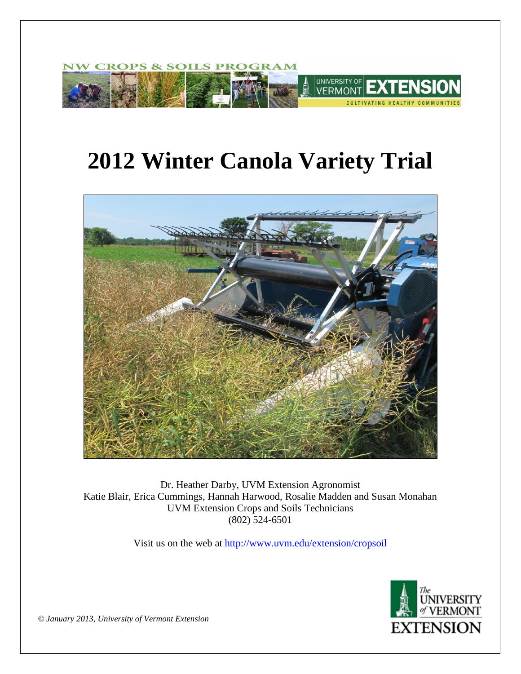

# **2012 Winter Canola Variety Trial**



Dr. Heather Darby, UVM Extension Agronomist Katie Blair, Erica Cummings, Hannah Harwood, Rosalie Madden and Susan Monahan UVM Extension Crops and Soils Technicians (802) 524-6501

Visit us on the web at <http://www.uvm.edu/extension/cropsoil>



*© January 2013, University of Vermont Extension*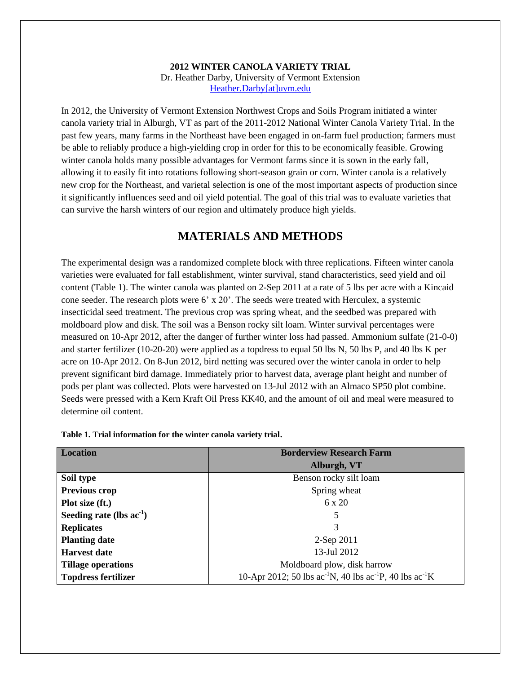## **2012 WINTER CANOLA VARIETY TRIAL** Dr. Heather Darby, University of Vermont Extension [Heather.Darby\[at\]uvm.edu](mailto:Heather.Darby@uvm.edu?subject=2012%20Winter%20Canola%20Variety%20Trial)

In 2012, the University of Vermont Extension Northwest Crops and Soils Program initiated a winter canola variety trial in Alburgh, VT as part of the 2011-2012 National Winter Canola Variety Trial. In the past few years, many farms in the Northeast have been engaged in on-farm fuel production; farmers must be able to reliably produce a high-yielding crop in order for this to be economically feasible. Growing winter canola holds many possible advantages for Vermont farms since it is sown in the early fall, allowing it to easily fit into rotations following short-season grain or corn. Winter canola is a relatively new crop for the Northeast, and varietal selection is one of the most important aspects of production since it significantly influences seed and oil yield potential. The goal of this trial was to evaluate varieties that can survive the harsh winters of our region and ultimately produce high yields.

## **MATERIALS AND METHODS**

The experimental design was a randomized complete block with three replications. Fifteen winter canola varieties were evaluated for fall establishment, winter survival, stand characteristics, seed yield and oil content (Table 1). The winter canola was planted on 2-Sep 2011 at a rate of 5 lbs per acre with a Kincaid cone seeder. The research plots were 6' x 20'. The seeds were treated with Herculex, a systemic insecticidal seed treatment. The previous crop was spring wheat, and the seedbed was prepared with moldboard plow and disk. The soil was a Benson rocky silt loam. Winter survival percentages were measured on 10-Apr 2012, after the danger of further winter loss had passed. Ammonium sulfate (21-0-0) and starter fertilizer (10-20-20) were applied as a topdress to equal 50 lbs N, 50 lbs P, and 40 lbs K per acre on 10-Apr 2012. On 8-Jun 2012, bird netting was secured over the winter canola in order to help prevent significant bird damage. Immediately prior to harvest data, average plant height and number of pods per plant was collected. Plots were harvested on 13-Jul 2012 with an Almaco SP50 plot combine. Seeds were pressed with a Kern Kraft Oil Press KK40, and the amount of oil and meal were measured to determine oil content.

| Location                   | <b>Borderview Research Farm</b>                                        |  |  |  |  |  |
|----------------------------|------------------------------------------------------------------------|--|--|--|--|--|
|                            | Alburgh, VT                                                            |  |  |  |  |  |
| Soil type                  | Benson rocky silt loam                                                 |  |  |  |  |  |
| <b>Previous crop</b>       | Spring wheat                                                           |  |  |  |  |  |
| Plot size (ft.)            | $6 \times 20$                                                          |  |  |  |  |  |
| Seeding rate (lbs $ac-1$ ) | 5                                                                      |  |  |  |  |  |
| <b>Replicates</b>          | 3                                                                      |  |  |  |  |  |
| <b>Planting date</b>       | $2$ -Sep $2011$                                                        |  |  |  |  |  |
| <b>Harvest date</b>        | 13-Jul 2012                                                            |  |  |  |  |  |
| <b>Tillage operations</b>  | Moldboard plow, disk harrow                                            |  |  |  |  |  |
| <b>Topdress fertilizer</b> | 10-Apr 2012; 50 lbs $ac^{-1}N$ , 40 lbs $ac^{-1}P$ , 40 lbs $ac^{-1}K$ |  |  |  |  |  |

**Table 1. Trial information for the winter canola variety trial.**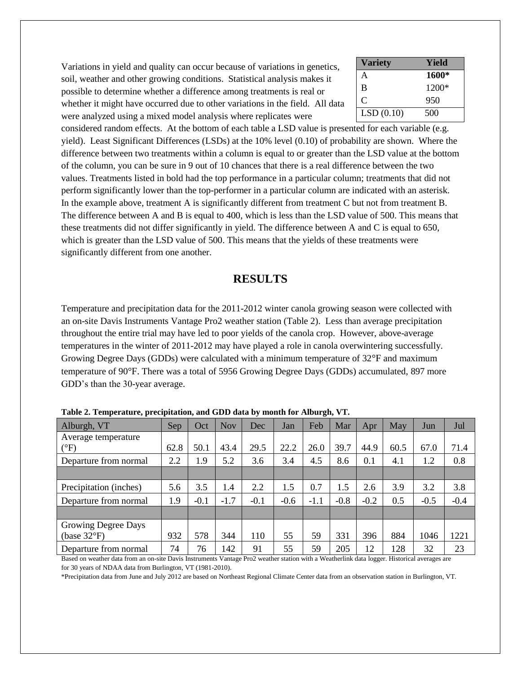Variations in yield and quality can occur because of variations in genetics, soil, weather and other growing conditions. Statistical analysis makes it possible to determine whether a difference among treatments is real or whether it might have occurred due to other variations in the field. All data were analyzed using a mixed model analysis where replicates were

| <b>Variety</b> | Yield   |
|----------------|---------|
| А              | 1600*   |
| B              | $1200*$ |
| C              | 950     |
| LSD(0.10)      | 500     |

considered random effects. At the bottom of each table a LSD value is presented for each variable (e.g. yield). Least Significant Differences (LSDs) at the 10% level (0.10) of probability are shown. Where the difference between two treatments within a column is equal to or greater than the LSD value at the bottom of the column, you can be sure in 9 out of 10 chances that there is a real difference between the two values. Treatments listed in bold had the top performance in a particular column; treatments that did not perform significantly lower than the top-performer in a particular column are indicated with an asterisk. In the example above, treatment A is significantly different from treatment C but not from treatment B. The difference between A and B is equal to 400, which is less than the LSD value of 500. This means that these treatments did not differ significantly in yield. The difference between A and C is equal to 650, which is greater than the LSD value of 500. This means that the yields of these treatments were significantly different from one another.

## **RESULTS**

Temperature and precipitation data for the 2011-2012 winter canola growing season were collected with an on-site Davis Instruments Vantage Pro2 weather station (Table 2). Less than average precipitation throughout the entire trial may have led to poor yields of the canola crop. However, above-average temperatures in the winter of 2011-2012 may have played a role in canola overwintering successfully. Growing Degree Days (GDDs) were calculated with a minimum temperature of 32°F and maximum temperature of 90°F. There was a total of 5956 Growing Degree Days (GDDs) accumulated, 897 more GDD's than the 30-year average.

| Alburgh, VT                                  | Sep  | Oct    | <b>Nov</b> | Dec    | Jan    | Feb    | Mar    | Apr    | May  | Jun    | Jul    |
|----------------------------------------------|------|--------|------------|--------|--------|--------|--------|--------|------|--------|--------|
| Average temperature<br>$(^{\circ}F)$         | 62.8 | 50.1   | 43.4       | 29.5   | 22.2   | 26.0   | 39.7   | 44.9   | 60.5 | 67.0   | 71.4   |
| Departure from normal                        | 2.2  | 1.9    | 5.2        | 3.6    | 3.4    | 4.5    | 8.6    | 0.1    | 4.1  | 1.2    | 0.8    |
|                                              |      |        |            |        |        |        |        |        |      |        |        |
| Precipitation (inches)                       | 5.6  | 3.5    | 1.4        | 2.2    | 1.5    | 0.7    | 1.5    | 2.6    | 3.9  | 3.2    | 3.8    |
| Departure from normal                        | 1.9  | $-0.1$ | $-1.7$     | $-0.1$ | $-0.6$ | $-1.1$ | $-0.8$ | $-0.2$ | 0.5  | $-0.5$ | $-0.4$ |
|                                              |      |        |            |        |        |        |        |        |      |        |        |
| Growing Degree Days<br>(base $32^{\circ}F$ ) | 932  | 578    | 344        | 110    | 55     | 59     | 331    | 396    | 884  | 1046   | 1221   |
| Departure from normal                        | 74   | 76     | 142        | 91     | 55     | 59     | 205    | 12     | 128  | 32     | 23     |

**Table 2. Temperature, precipitation, and GDD data by month for Alburgh, VT.**

Based on weather data from an on-site Davis Instruments Vantage Pro2 weather station with a Weatherlink data logger. Historical averages are for 30 years of NDAA data from Burlington, VT (1981-2010).

\*Precipitation data from June and July 2012 are based on Northeast Regional Climate Center data from an observation station in Burlington, VT.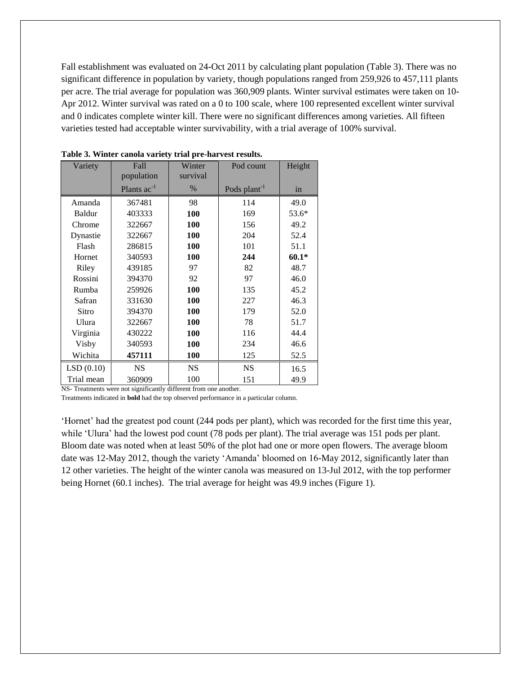Fall establishment was evaluated on 24-Oct 2011 by calculating plant population (Table 3). There was no significant difference in population by variety, though populations ranged from 259,926 to 457,111 plants per acre. The trial average for population was 360,909 plants. Winter survival estimates were taken on 10- Apr 2012. Winter survival was rated on a 0 to 100 scale, where 100 represented excellent winter survival and 0 indicates complete winter kill. There were no significant differences among varieties. All fifteen varieties tested had acceptable winter survivability, with a trial average of 100% survival.

| Variety    | Fall             | Winter     | Pod count                | Height  |  |
|------------|------------------|------------|--------------------------|---------|--|
|            | population       | survival   |                          |         |  |
|            | Plants $ac^{-1}$ | %          | Pods plant <sup>-1</sup> | in      |  |
| Amanda     | 367481           | 98         | 114                      | 49.0    |  |
| Baldur     | 403333           | <b>100</b> | 169                      | $53.6*$ |  |
| Chrome     | 322667           | <b>100</b> | 156                      | 49.2    |  |
| Dynastie   | 322667           | 100        | 204                      | 52.4    |  |
| Flash      | 286815           | <b>100</b> | 101                      | 51.1    |  |
| Hornet     | 340593           | 100        | 244                      | $60.1*$ |  |
| Riley      | 439185           | 97         | 82                       | 48.7    |  |
| Rossini    | 394370           | 92         | 97                       | 46.0    |  |
| Rumba      | 259926           | 100        | 135                      | 45.2    |  |
| Safran     | 331630           | 100        | 227                      | 46.3    |  |
| Sitro      | 394370           | <b>100</b> | 179                      | 52.0    |  |
| Ulura      | 322667           | 100        | 78                       | 51.7    |  |
| Virginia   | 430222           | <b>100</b> | 116                      | 44.4    |  |
| Visby      | 340593           | <b>100</b> | 234                      | 46.6    |  |
| Wichita    | 457111           | <b>100</b> | 125                      | 52.5    |  |
| LSD(0.10)  | <b>NS</b>        | <b>NS</b>  | <b>NS</b>                | 16.5    |  |
| Trial mean | 360909           | 100        | 151                      | 49.9    |  |

**Table 3. Winter canola variety trial pre-harvest results.**

NS- Treatments were not significantly different from one another.

Treatments indicated in **bold** had the top observed performance in a particular column.

'Hornet' had the greatest pod count (244 pods per plant), which was recorded for the first time this year, while 'Ulura' had the lowest pod count (78 pods per plant). The trial average was 151 pods per plant. Bloom date was noted when at least 50% of the plot had one or more open flowers. The average bloom date was 12-May 2012, though the variety 'Amanda' bloomed on 16-May 2012, significantly later than 12 other varieties. The height of the winter canola was measured on 13-Jul 2012, with the top performer being Hornet (60.1 inches). The trial average for height was 49.9 inches (Figure 1).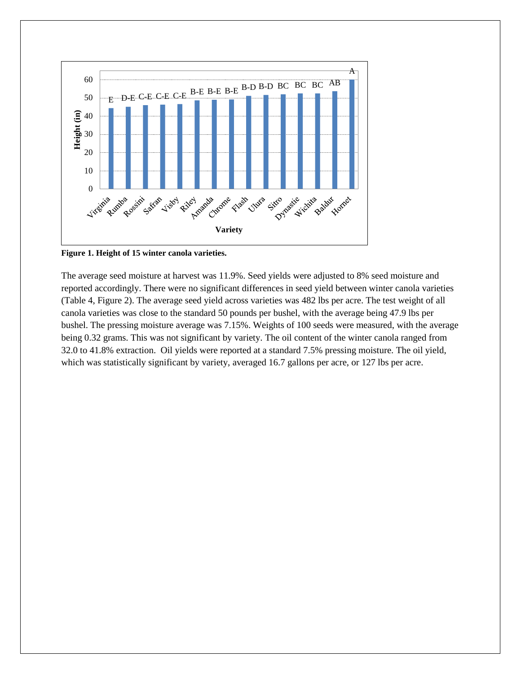

**Figure 1. Height of 15 winter canola varieties.** 

The average seed moisture at harvest was 11.9%. Seed yields were adjusted to 8% seed moisture and reported accordingly. There were no significant differences in seed yield between winter canola varieties (Table 4, Figure 2). The average seed yield across varieties was 482 lbs per acre. The test weight of all canola varieties was close to the standard 50 pounds per bushel, with the average being 47.9 lbs per bushel. The pressing moisture average was 7.15%. Weights of 100 seeds were measured, with the average being 0.32 grams. This was not significant by variety. The oil content of the winter canola ranged from 32.0 to 41.8% extraction. Oil yields were reported at a standard 7.5% pressing moisture. The oil yield, which was statistically significant by variety, averaged 16.7 gallons per acre, or 127 lbs per acre.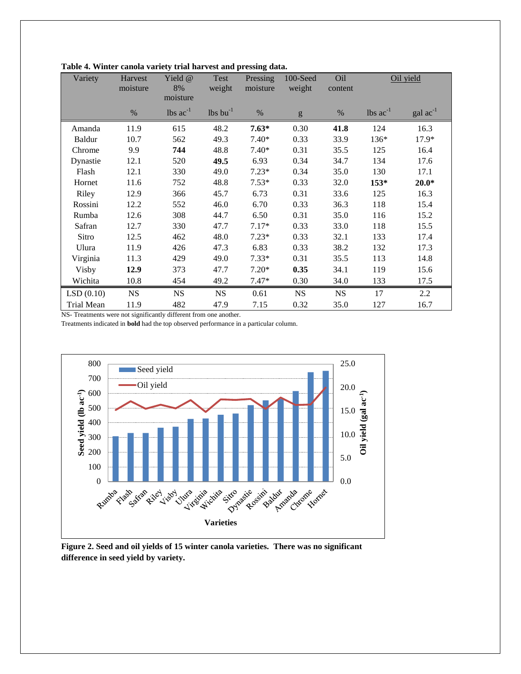| Variety       | Harvest<br>moisture | Yield @<br>8%<br>moisture | Test<br>weight                | Pressing<br>moisture | 100-Seed<br>weight                                                                                                                                                                                                                                                                                                                                                                                                             | Oil<br>content | Oil yield                     |                      |
|---------------|---------------------|---------------------------|-------------------------------|----------------------|--------------------------------------------------------------------------------------------------------------------------------------------------------------------------------------------------------------------------------------------------------------------------------------------------------------------------------------------------------------------------------------------------------------------------------|----------------|-------------------------------|----------------------|
|               | $\%$                | lbs $ac^{-1}$             | $\text{lbs}$ bu <sup>-1</sup> | $\%$                 | $\mathbf{g}% _{T}=\mathbf{g}_{T}=\mathbf{g}_{T}=\mathbf{g}_{T}=\mathbf{g}_{T}=\mathbf{g}_{T}=\mathbf{g}_{T}=\mathbf{g}_{T}=\mathbf{g}_{T}=\mathbf{g}_{T}=\mathbf{g}_{T}=\mathbf{g}_{T}=\mathbf{g}_{T}=\mathbf{g}_{T}=\mathbf{g}_{T}=\mathbf{g}_{T}=\mathbf{g}_{T}=\mathbf{g}_{T}=\mathbf{g}_{T}=\mathbf{g}_{T}=\mathbf{g}_{T}=\mathbf{g}_{T}=\mathbf{g}_{T}=\mathbf{g}_{T}=\mathbf{g}_{T}=\mathbf{g}_{T}=\mathbf{g}_{T}=\math$ | $\%$           | $\text{ lbs } \text{ac}^{-1}$ | $\text{gal ac}^{-1}$ |
| Amanda        | 11.9                | 615                       | 48.2                          | $7.63*$              | 0.30                                                                                                                                                                                                                                                                                                                                                                                                                           | 41.8           | 124                           | 16.3                 |
| <b>Baldur</b> | 10.7                | 562                       | 49.3                          | $7.40*$              | 0.33                                                                                                                                                                                                                                                                                                                                                                                                                           | 33.9           | 136*                          | 17.9*                |
| Chrome        | 9.9                 | 744                       | 48.8                          | $7.40*$              | 0.31                                                                                                                                                                                                                                                                                                                                                                                                                           | 35.5           | 125                           | 16.4                 |
| Dynastie      | 12.1                | 520                       | 49.5                          | 6.93                 | 0.34                                                                                                                                                                                                                                                                                                                                                                                                                           | 34.7           | 134                           | 17.6                 |
| Flash         | 12.1                | 330                       | 49.0                          | $7.23*$              | 0.34                                                                                                                                                                                                                                                                                                                                                                                                                           | 35.0           | 130                           | 17.1                 |
| Hornet        | 11.6                | 752                       | 48.8                          | $7.53*$              | 0.33                                                                                                                                                                                                                                                                                                                                                                                                                           | 32.0           | $153*$                        | $20.0*$              |
| Riley         | 12.9                | 366                       | 45.7                          | 6.73                 | 0.31                                                                                                                                                                                                                                                                                                                                                                                                                           | 33.6           | 125                           | 16.3                 |
| Rossini       | 12.2                | 552                       | 46.0                          | 6.70                 | 0.33                                                                                                                                                                                                                                                                                                                                                                                                                           | 36.3           | 118                           | 15.4                 |
| Rumba         | 12.6                | 308                       | 44.7                          | 6.50                 | 0.31                                                                                                                                                                                                                                                                                                                                                                                                                           | 35.0           | 116                           | 15.2                 |
| Safran        | 12.7                | 330                       | 47.7                          | $7.17*$              | 0.33                                                                                                                                                                                                                                                                                                                                                                                                                           | 33.0           | 118                           | 15.5                 |
| Sitro         | 12.5                | 462                       | 48.0                          | $7.23*$              | 0.33                                                                                                                                                                                                                                                                                                                                                                                                                           | 32.1           | 133                           | 17.4                 |
| Ulura         | 11.9                | 426                       | 47.3                          | 6.83                 | 0.33                                                                                                                                                                                                                                                                                                                                                                                                                           | 38.2           | 132                           | 17.3                 |
| Virginia      | 11.3                | 429                       | 49.0                          | $7.33*$              | 0.31                                                                                                                                                                                                                                                                                                                                                                                                                           | 35.5           | 113                           | 14.8                 |
| Visby         | 12.9                | 373                       | 47.7                          | $7.20*$              | 0.35                                                                                                                                                                                                                                                                                                                                                                                                                           | 34.1           | 119                           | 15.6                 |
| Wichita       | 10.8                | 454                       | 49.2                          | $7.47*$              | 0.30                                                                                                                                                                                                                                                                                                                                                                                                                           | 34.0           | 133                           | 17.5                 |
| LSD(0.10)     | <b>NS</b>           | <b>NS</b>                 | <b>NS</b>                     | 0.61                 | <b>NS</b>                                                                                                                                                                                                                                                                                                                                                                                                                      | <b>NS</b>      | 17                            | 2.2                  |
| Trial Mean    | 11.9                | 482                       | 47.9                          | 7.15                 | 0.32                                                                                                                                                                                                                                                                                                                                                                                                                           | 35.0           | 127                           | 16.7                 |

**Table 4. Winter canola variety trial harvest and pressing data.**

NS- Treatments were not significantly different from one another.

Treatments indicated in **bold** had the top observed performance in a particular column.



**Figure 2. Seed and oil yields of 15 winter canola varieties. There was no significant difference in seed yield by variety.**